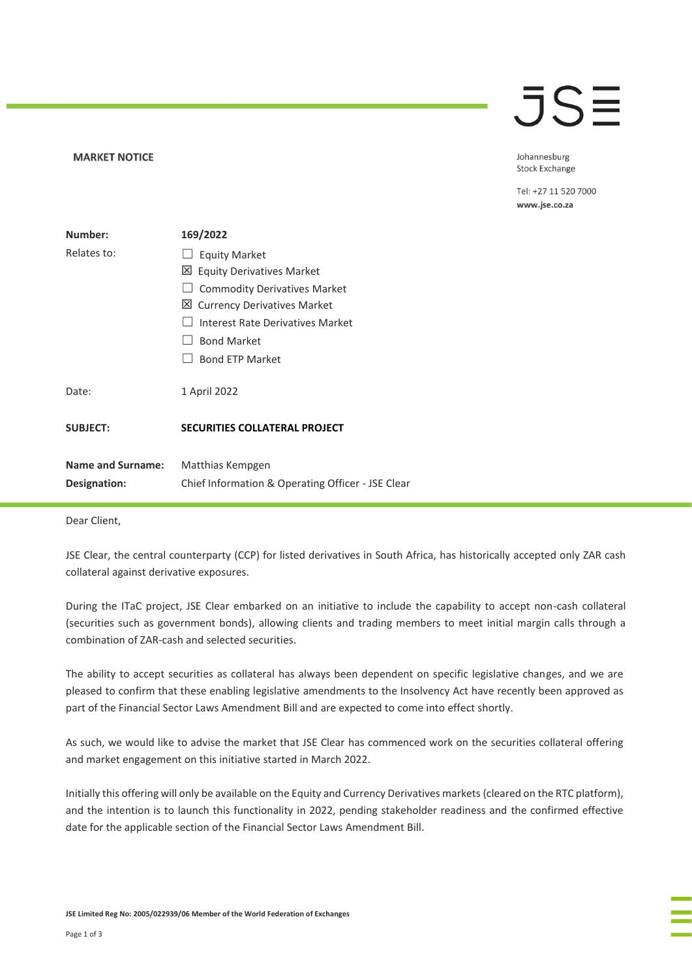## **JSE**

**MARKET NOTICE** 

Johannesburg **Stock Exchange** 

Tel: +27 11 520 7000 www.jse.co.za

| Number:                                  | 169/2022                                                              |
|------------------------------------------|-----------------------------------------------------------------------|
| Relates to:                              | <b>Equity Market</b>                                                  |
|                                          | 凶 Equity Derivatives Market                                           |
|                                          | <b>Commodity Derivatives Market</b>                                   |
|                                          | 凶 Currency Derivatives Market                                         |
|                                          | Interest Rate Derivatives Market                                      |
|                                          | <b>Bond Market</b>                                                    |
|                                          | <b>Bond FTP Market</b>                                                |
| Date:                                    | 1 April 2022                                                          |
| <b>SUBJECT:</b>                          | <b>SECURITIES COLLATERAL PROJECT</b>                                  |
| <b>Name and Surname:</b><br>Designation: | Matthias Kempgen<br>Chief Information & Operating Officer - JSE Clear |
|                                          |                                                                       |

Dear Client,

JSE Clear, the central counterparty (CCP) for listed derivatives in South Africa, has historically accepted only ZAR cash collateral against derivative exposures.

During the ITaC project, JSE Clear embarked on an initiative to include the capability to accept non-cash collateral (securities such as government bonds), allowing clients and trading members to meet initial margin calls through a combination of ZAR-cash and selected securities.

The ability to accept securities as collateral has always been dependent on specific legislative changes, and we are pleased to confirm that these enabling legislative amendments to the Insolvency Act have recently been approved as part of the Financial Sector Laws Amendment Bill and are expected to come into effect shortly.

As such, we would like to advise the market that JSE Clear has commenced work on the securities collateral offering and market engagement on this initiative started in March 2022.

Initially this offering will only be available on the Equity and Currency Derivatives markets (cleared on the RTC platform), and the intention is to launch this functionality in 2022, pending stakeholder readiness and the confirmed effective date for the applicable section of the Financial Sector Laws Amendment Bill.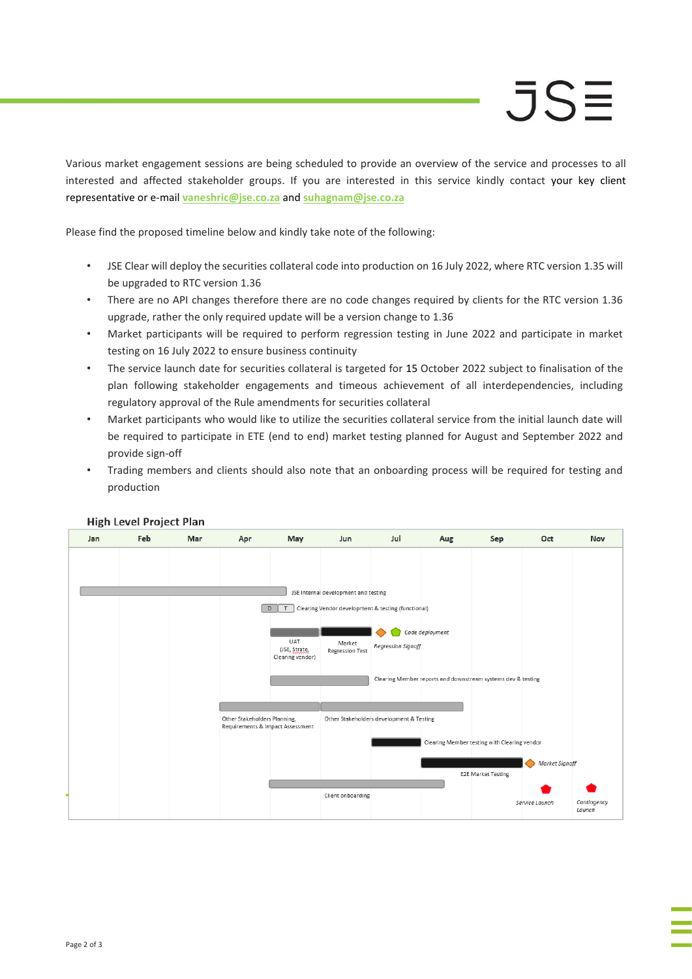Various market engagement sessions are being scheduled to provide an overview of the service and processes to all interested and affected stakeholder groups. If you are interested in this service kindly contact your key client representative or e-mail **[vaneshric@jse.co.za](mailto:vaneshric@jse.co.za)** and **[suhagnam@jse.co.za](mailto:suhagnam@jse.co.za)**

Please find the proposed timeline below and kindly take note of the following:

- JSE Clear will deploy the securities collateral code into production on 16 July 2022, where RTC version 1.35 will be upgraded to RTC version 1.36
- There are no API changes therefore there are no code changes required by clients for the RTC version 1.36 upgrade, rather the only required update will be a version change to 1.36
- Market participants will be required to perform regression testing in June 2022 and participate in market testing on 16 July 2022 to ensure business continuity
- The service launch date for securities collateral is targeted for 15 October 2022 subject to finalisation of the plan following stakeholder engagements and timeous achievement of all interdependencies, including regulatory approval of the Rule amendments for securities collateral
- Market participants who would like to utilize the securities collateral service from the initial launch date will be required to participate in ETE (end to end) market testing planned for August and September 2022 and provide sign-off
- Trading members and clients should also note that an onboarding process will be required for testing and production



## **High Level Project Plan**